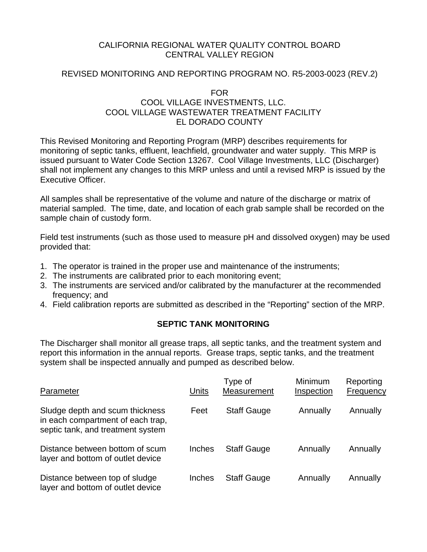# CALIFORNIA REGIONAL WATER QUALITY CONTROL BOARD CENTRAL VALLEY REGION

## REVISED MONITORING AND REPORTING PROGRAM NO. R5-2003-0023 (REV.2)

# FOR COOL VILLAGE INVESTMENTS, LLC. COOL VILLAGE WASTEWATER TREATMENT FACILITY EL DORADO COUNTY

This Revised Monitoring and Reporting Program (MRP) describes requirements for monitoring of septic tanks, effluent, leachfield, groundwater and water supply. This MRP is issued pursuant to Water Code Section 13267. Cool Village Investments, LLC (Discharger) shall not implement any changes to this MRP unless and until a revised MRP is issued by the Executive Officer.

All samples shall be representative of the volume and nature of the discharge or matrix of material sampled. The time, date, and location of each grab sample shall be recorded on the sample chain of custody form.

Field test instruments (such as those used to measure pH and dissolved oxygen) may be used provided that:

- 1. The operator is trained in the proper use and maintenance of the instruments;
- 2. The instruments are calibrated prior to each monitoring event;
- 3. The instruments are serviced and/or calibrated by the manufacturer at the recommended frequency; and
- 4. Field calibration reports are submitted as described in the "Reporting" section of the MRP.

# **SEPTIC TANK MONITORING**

The Discharger shall monitor all grease traps, all septic tanks, and the treatment system and report this information in the annual reports. Grease traps, septic tanks, and the treatment system shall be inspected annually and pumped as described below.

| Parameter                                                                                                 | Units         | Type of<br>Measurement | <b>Minimum</b><br>Inspection | Reporting<br>Frequency |
|-----------------------------------------------------------------------------------------------------------|---------------|------------------------|------------------------------|------------------------|
| Sludge depth and scum thickness<br>in each compartment of each trap,<br>septic tank, and treatment system | Feet          | <b>Staff Gauge</b>     | Annually                     | Annually               |
| Distance between bottom of scum<br>layer and bottom of outlet device                                      | <b>Inches</b> | <b>Staff Gauge</b>     | Annually                     | Annually               |
| Distance between top of sludge<br>layer and bottom of outlet device                                       | Inches        | <b>Staff Gauge</b>     | Annually                     | Annually               |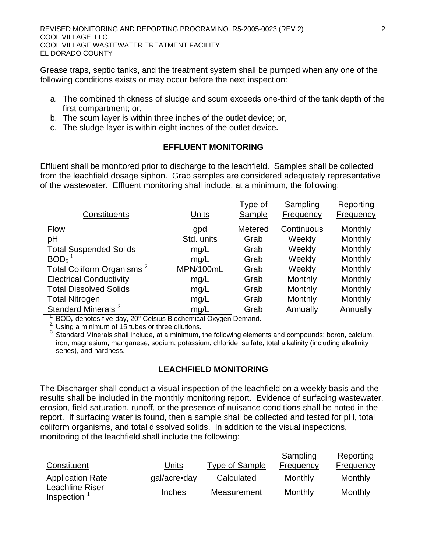Grease traps, septic tanks, and the treatment system shall be pumped when any one of the following conditions exists or may occur before the next inspection:

- a. The combined thickness of sludge and scum exceeds one-third of the tank depth of the first compartment; or,
- b. The scum layer is within three inches of the outlet device; or,
- c. The sludge layer is within eight inches of the outlet device**.**

# **EFFLUENT MONITORING**

Effluent shall be monitored prior to discharge to the leachfield. Samples shall be collected from the leachfield dosage siphon. Grab samples are considered adequately representative of the wastewater. Effluent monitoring shall include, at a minimum, the following:

|                                       |            | Type of | Sampling   | Reporting |
|---------------------------------------|------------|---------|------------|-----------|
| Constituents                          | Units      | Sample  | Frequency  | Frequency |
| <b>Flow</b>                           | gpd        | Metered | Continuous | Monthly   |
| pH                                    | Std. units | Grab    | Weekly     | Monthly   |
| <b>Total Suspended Solids</b>         | mg/L       | Grab    | Weekly     | Monthly   |
| BOD <sub>5</sub>                      | mq/L       | Grab    | Weekly     | Monthly   |
| Total Coliform Organisms <sup>2</sup> | MPN/100mL  | Grab    | Weekly     | Monthly   |
| <b>Electrical Conductivity</b>        | mg/L       | Grab    | Monthly    | Monthly   |
| <b>Total Dissolved Solids</b>         | mg/L       | Grab    | Monthly    | Monthly   |
| <b>Total Nitrogen</b>                 | mg/L       | Grab    | Monthly    | Monthly   |
| Standard Minerals <sup>3</sup>        | mg/L       | Grab    | Annually   | Annually  |

<sup>1.</sup> BOD<sub>5</sub> denotes five-day, 20° Celsius Biochemical Oxygen Demand.<br><sup>2.</sup> Using a minimum of 15 tubes or three dilutions.

<sup>3</sup>. Standard Minerals shall include, at a minimum, the following elements and compounds: boron, calcium, iron, magnesium, manganese, sodium, potassium, chloride, sulfate, total alkalinity (including alkalinity series), and hardness.

# **LEACHFIELD MONITORING**

The Discharger shall conduct a visual inspection of the leachfield on a weekly basis and the results shall be included in the monthly monitoring report. Evidence of surfacing wastewater, erosion, field saturation, runoff, or the presence of nuisance conditions shall be noted in the report. If surfacing water is found, then a sample shall be collected and tested for pH, total coliform organisms, and total dissolved solids. In addition to the visual inspections, monitoring of the leachfield shall include the following:

| Constituent                   | Units         | Type of Sample | Sampling<br>Frequency | Reporting<br>Frequency |
|-------------------------------|---------------|----------------|-----------------------|------------------------|
| <b>Application Rate</b>       | gal/acre•day  | Calculated     | Monthly               | Monthly                |
| Leachline Riser<br>Inspection | <b>Inches</b> | Measurement    | Monthly               | Monthly                |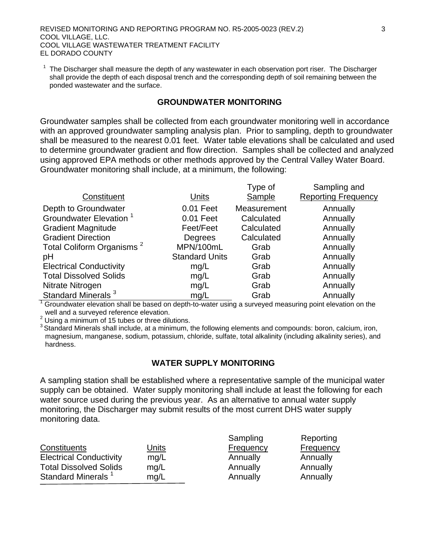1 The Discharger shall measure the depth of any wastewater in each observation port riser. The Discharger shall provide the depth of each disposal trench and the corresponding depth of soil remaining between the ponded wastewater and the surface.

## **GROUNDWATER MONITORING**

Groundwater samples shall be collected from each groundwater monitoring well in accordance with an approved groundwater sampling analysis plan. Prior to sampling, depth to groundwater shall be measured to the nearest 0.01 feet. Water table elevations shall be calculated and used to determine groundwater gradient and flow direction. Samples shall be collected and analyzed using approved EPA methods or other methods approved by the Central Valley Water Board. Groundwater monitoring shall include, at a minimum, the following:

|                                       |                       | Type of     | Sampling and               |
|---------------------------------------|-----------------------|-------------|----------------------------|
| Constituent                           | Units                 | Sample      | <b>Reporting Frequency</b> |
| Depth to Groundwater                  | 0.01 Feet             | Measurement | Annually                   |
| Groundwater Elevation <sup>1</sup>    | 0.01 Feet             | Calculated  | Annually                   |
| <b>Gradient Magnitude</b>             | Feet/Feet             | Calculated  | Annually                   |
| <b>Gradient Direction</b>             | Degrees               | Calculated  | Annually                   |
| Total Coliform Organisms <sup>2</sup> | MPN/100mL             | Grab        | Annually                   |
| pH                                    | <b>Standard Units</b> | Grab        | Annually                   |
| <b>Electrical Conductivity</b>        | mg/L                  | Grab        | Annually                   |
| <b>Total Dissolved Solids</b>         | mg/L                  | Grab        | Annually                   |
| Nitrate Nitrogen                      | mg/L                  | Grab        | Annually                   |
| Standard Minerals <sup>3</sup>        | mg/L                  | Grab        | Annually                   |

 $1$  Groundwater elevation shall be based on depth-to-water using a surveyed measuring point elevation on the

well and a surveyed reference elevation.<br>
<sup>2</sup> Using a minimum of 15 tubes or three dilutions.

 $3$  Standard Minerals shall include, at a minimum, the following elements and compounds: boron, calcium, iron, magnesium, manganese, sodium, potassium, chloride, sulfate, total alkalinity (including alkalinity series), and hardness.

#### **WATER SUPPLY MONITORING**

A sampling station shall be established where a representative sample of the municipal water supply can be obtained. Water supply monitoring shall include at least the following for each water source used during the previous year. As an alternative to annual water supply monitoring, the Discharger may submit results of the most current DHS water supply monitoring data.

|                                |       | Sampling  | Reporting |
|--------------------------------|-------|-----------|-----------|
| Constituents                   | Units | Frequency | Frequency |
| <b>Electrical Conductivity</b> | mq/L  | Annually  | Annually  |
| <b>Total Dissolved Solids</b>  | mq/L  | Annually  | Annually  |
| Standard Minerals <sup>1</sup> | mq/L  | Annually  | Annually  |
|                                |       |           |           |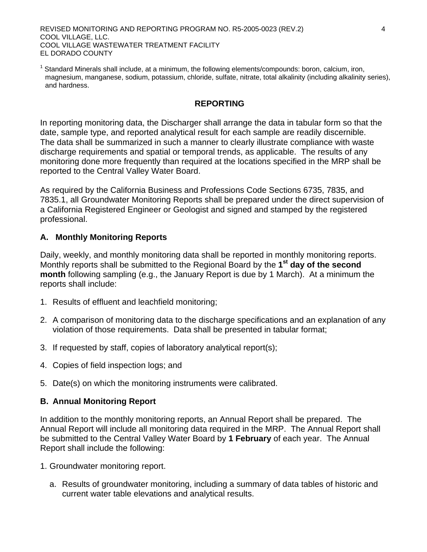REVISED MONITORING AND REPORTING PROGRAM NO. R5-2005-0023 (REV.2) 4 COOL VILLAGE, LLC. COOL VILLAGE WASTEWATER TREATMENT FACILITY EL DORADO COUNTY

<sup>1</sup> Standard Minerals shall include, at a minimum, the following elements/compounds: boron, calcium, iron, magnesium, manganese, sodium, potassium, chloride, sulfate, nitrate, total alkalinity (including alkalinity series), and hardness.

#### **REPORTING**

In reporting monitoring data, the Discharger shall arrange the data in tabular form so that the date, sample type, and reported analytical result for each sample are readily discernible. The data shall be summarized in such a manner to clearly illustrate compliance with waste discharge requirements and spatial or temporal trends, as applicable. The results of any monitoring done more frequently than required at the locations specified in the MRP shall be reported to the Central Valley Water Board.

As required by the California Business and Professions Code Sections 6735, 7835, and 7835.1, all Groundwater Monitoring Reports shall be prepared under the direct supervision of a California Registered Engineer or Geologist and signed and stamped by the registered professional.

### **A. Monthly Monitoring Reports**

Daily, weekly, and monthly monitoring data shall be reported in monthly monitoring reports. Monthly reports shall be submitted to the Regional Board by the **1st day of the second month** following sampling (e.g., the January Report is due by 1 March). At a minimum the reports shall include:

- 1. Results of effluent and leachfield monitoring;
- 2. A comparison of monitoring data to the discharge specifications and an explanation of any violation of those requirements. Data shall be presented in tabular format;
- 3. If requested by staff, copies of laboratory analytical report(s);
- 4. Copies of field inspection logs; and
- 5. Date(s) on which the monitoring instruments were calibrated.

#### **B. Annual Monitoring Report**

In addition to the monthly monitoring reports, an Annual Report shall be prepared. The Annual Report will include all monitoring data required in the MRP. The Annual Report shall be submitted to the Central Valley Water Board by **1 February** of each year. The Annual Report shall include the following:

- 1. Groundwater monitoring report.
	- a. Results of groundwater monitoring, including a summary of data tables of historic and current water table elevations and analytical results.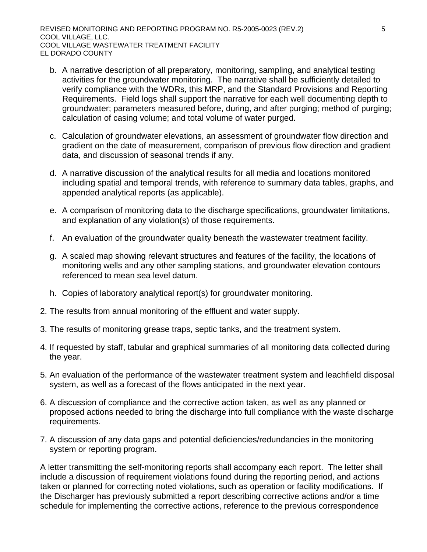- b. A narrative description of all preparatory, monitoring, sampling, and analytical testing activities for the groundwater monitoring. The narrative shall be sufficiently detailed to verify compliance with the WDRs, this MRP, and the Standard Provisions and Reporting Requirements. Field logs shall support the narrative for each well documenting depth to groundwater; parameters measured before, during, and after purging; method of purging; calculation of casing volume; and total volume of water purged.
- c. Calculation of groundwater elevations, an assessment of groundwater flow direction and gradient on the date of measurement, comparison of previous flow direction and gradient data, and discussion of seasonal trends if any.
- d. A narrative discussion of the analytical results for all media and locations monitored including spatial and temporal trends, with reference to summary data tables, graphs, and appended analytical reports (as applicable).
- e. A comparison of monitoring data to the discharge specifications, groundwater limitations, and explanation of any violation(s) of those requirements.
- f. An evaluation of the groundwater quality beneath the wastewater treatment facility.
- g. A scaled map showing relevant structures and features of the facility, the locations of monitoring wells and any other sampling stations, and groundwater elevation contours referenced to mean sea level datum.
- h. Copies of laboratory analytical report(s) for groundwater monitoring.
- 2. The results from annual monitoring of the effluent and water supply.
- 3. The results of monitoring grease traps, septic tanks, and the treatment system.
- 4. If requested by staff, tabular and graphical summaries of all monitoring data collected during the year.
- 5. An evaluation of the performance of the wastewater treatment system and leachfield disposal system, as well as a forecast of the flows anticipated in the next year.
- 6. A discussion of compliance and the corrective action taken, as well as any planned or proposed actions needed to bring the discharge into full compliance with the waste discharge requirements.
- 7. A discussion of any data gaps and potential deficiencies/redundancies in the monitoring system or reporting program.

A letter transmitting the self-monitoring reports shall accompany each report. The letter shall include a discussion of requirement violations found during the reporting period, and actions taken or planned for correcting noted violations, such as operation or facility modifications. If the Discharger has previously submitted a report describing corrective actions and/or a time schedule for implementing the corrective actions, reference to the previous correspondence